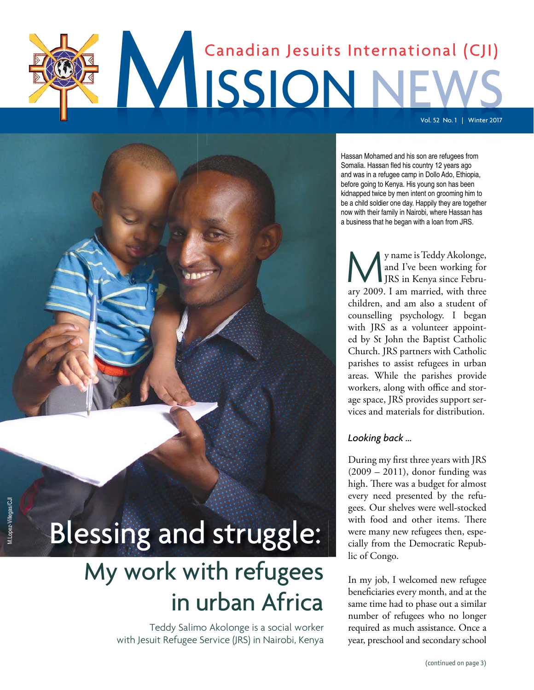# MISSION NE Canadian Jesuits International (CJI) Vol. 52 No. 1 | Winter 2017

Hassan Mohamed and his son are refugees from Somalia. Hassan fled his country 12 years ago and was in a refugee camp in Dollo Ado, Ethiopia, before going to Kenya. His young son has been kidnapped twice by men intent on grooming him to be a child soldier one day. Happily they are together now with their family in Nairobi, where Hassan has a business that he began with a loan from JRS.

My name is Teddy Akolonge,<br>and I've been working for<br>JRS in Kenya since Febru-<br>ary 2009. I am married, with three y name is Teddy Akolonge, and I've been working for JRS in Kenya since Februchildren, and am also a student of counselling psychology. I began with JRS as a volunteer appointed by St John the Baptist Catholic Church. JRS partners with Catholic parishes to assist refugees in urban areas. While the parishes provide workers, along with office and storage space, JRS provides support services and materials for distribution.

#### *Looking back ...*

During my first three years with JRS (2009 – 2011), donor funding was high. There was a budget for almost every need presented by the refugees. Our shelves were well-stocked with food and other items. There were many new refugees then, especially from the Democratic Republic of Congo.

In my job, I welcomed new refugee beneficiaries every month, and at the same time had to phase out a similar number of refugees who no longer required as much assistance. Once a year, preschool and secondary school

# Blessing and struggle: Blessing and struggle:

## My work with refugees in urban Africa

Teddy Salimo Akolonge is a social worker with Jesuit Refugee Service (JRS) in Nairobi, Kenya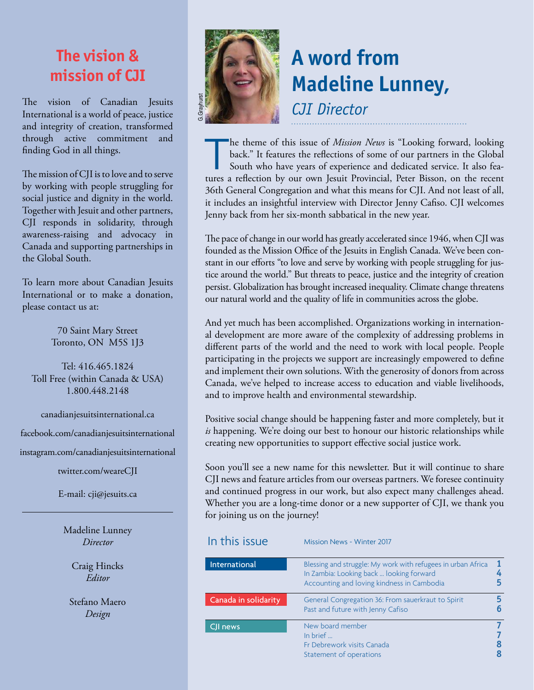### **The vision & mission of CJI**

The vision of Canadian Jesuits International is a world of peace, justice and integrity of creation, transformed through active commitment and finding God in all things.

The mission of CJI is to love and to serve by working with people struggling for social justice and dignity in the world. Together with Jesuit and other partners, CJI responds in solidarity, through awareness-raising and advocacy in Canada and supporting partnerships in the Global South.

To learn more about Canadian Jesuits International or to make a donation, please contact us at:

> 70 Saint Mary Street Toronto, ON M5S 1J3

Tel: 416.465.1824 Toll Free (within Canada & USA) 1.800.448.2148

canadianjesuitsinternational.ca

facebook.com/canadianjesuitsinternational

instagram.com/canadianjesuitsinternational

twitter.com/weareCJI

E-mail: cji@jesuits.ca

Madeline Lunney *Director*

Craig Hincks *Editor*

Stefano Maero *Design*



### **A word from Madeline Lunney,** *CJI Director*

The theme of this issue of *Mission News* is "Looking forward, looking back." It features the reflections of some of our partners in the Global South who have years of experience and dedicated service. It also features a r he theme of this issue of *Mission News* is "Looking forward, looking back." It features the reflections of some of our partners in the Global South who have years of experience and dedicated service. It also fea-36th General Congregation and what this means for CJI. And not least of all, it includes an insightful interview with Director Jenny Cafiso. CJI welcomes Jenny back from her six-month sabbatical in the new year.

The pace of change in our world has greatly accelerated since 1946, when CJI was founded as the Mission Office of the Jesuits in English Canada. We've been constant in our efforts "to love and serve by working with people struggling for justice around the world." But threats to peace, justice and the integrity of creation persist. Globalization has brought increased inequality. Climate change threatens our natural world and the quality of life in communities across the globe.

And yet much has been accomplished. Organizations working in international development are more aware of the complexity of addressing problems in different parts of the world and the need to work with local people. People participating in the projects we support are increasingly empowered to define and implement their own solutions. With the generosity of donors from across Canada, we've helped to increase access to education and viable livelihoods, and to improve health and environmental stewardship.

Positive social change should be happening faster and more completely, but it *is* happening. We're doing our best to honour our historic relationships while creating new opportunities to support effective social justice work.

Soon you'll see a new name for this newsletter. But it will continue to share CJI news and feature articles from our overseas partners. We foresee continuity and continued progress in our work, but also expect many challenges ahead. Whether you are a long-time donor or a new supporter of CJI, we thank you for joining us on the journey!

| In this issue        | <b>Mission News - Winter 2017</b>                                                                                                                      |  |
|----------------------|--------------------------------------------------------------------------------------------------------------------------------------------------------|--|
| International        | Blessing and struggle: My work with refugees in urban Africa<br>In Zambia: Looking back  looking forward<br>Accounting and loving kindness in Cambodia |  |
| Canada in solidarity | General Congregation 36: From sauerkraut to Spirit<br>Past and future with Jenny Cafiso                                                                |  |
| CJI news             | New board member<br>In brief $\ldots$<br>Fr Debrework visits Canada<br>Statement of operations                                                         |  |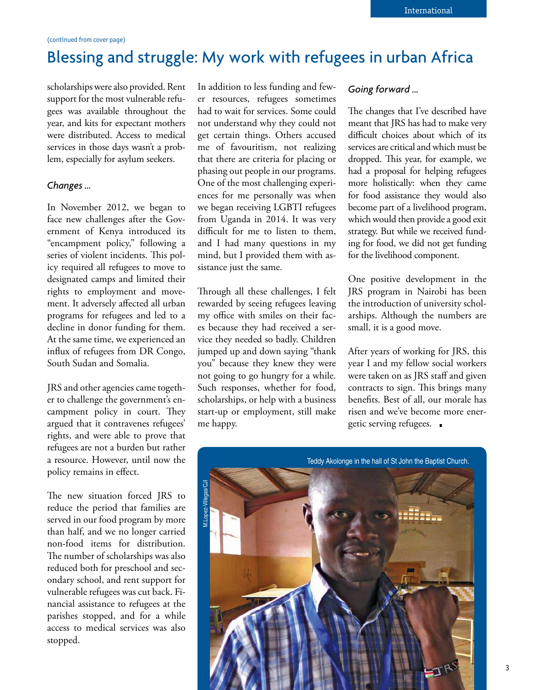### Blessing and struggle: My work with refugees in urban Africa

scholarships were also provided. Rent support for the most vulnerable refugees was available throughout the year, and kits for expectant mothers were distributed. Access to medical services in those days wasn't a problem, especially for asylum seekers.

#### *Changes ...*

In November 2012, we began to face new challenges after the Government of Kenya introduced its "encampment policy," following a series of violent incidents. This policy required all refugees to move to designated camps and limited their rights to employment and movement. It adversely affected all urban programs for refugees and led to a decline in donor funding for them. At the same time, we experienced an influx of refugees from DR Congo, South Sudan and Somalia.

JRS and other agencies came together to challenge the government's encampment policy in court. They argued that it contravenes refugees' rights, and were able to prove that refugees are not a burden but rather a resource. However, until now the policy remains in effect.

The new situation forced JRS to reduce the period that families are served in our food program by more than half, and we no longer carried non-food items for distribution. The number of scholarships was also reduced both for preschool and secondary school, and rent support for vulnerable refugees was cut back. Financial assistance to refugees at the parishes stopped, and for a while access to medical services was also stopped.

In addition to less funding and fewer resources, refugees sometimes had to wait for services. Some could not understand why they could not get certain things. Others accused me of favouritism, not realizing that there are criteria for placing or phasing out people in our programs. One of the most challenging experiences for me personally was when we began receiving LGBTI refugees from Uganda in 2014. It was very difficult for me to listen to them, and I had many questions in my mind, but I provided them with assistance just the same.

Through all these challenges, I felt rewarded by seeing refugees leaving my office with smiles on their faces because they had received a service they needed so badly. Children jumped up and down saying "thank you" because they knew they were not going to go hungry for a while. Such responses, whether for food, scholarships, or help with a business start-up or employment, still make me happy.

#### *Going forward ...*

The changes that I've described have meant that JRS has had to make very difficult choices about which of its services are critical and which must be dropped. This year, for example, we had a proposal for helping refugees more holistically: when they came for food assistance they would also become part of a livelihood program, which would then provide a good exit strategy. But while we received funding for food, we did not get funding for the livelihood component.

One positive development in the JRS program in Nairobi has been the introduction of university scholarships. Although the numbers are small, it is a good move.

After years of working for JRS, this year I and my fellow social workers were taken on as JRS staff and given contracts to sign. This brings many benefits. Best of all, our morale has risen and we've become more energetic serving refugees.

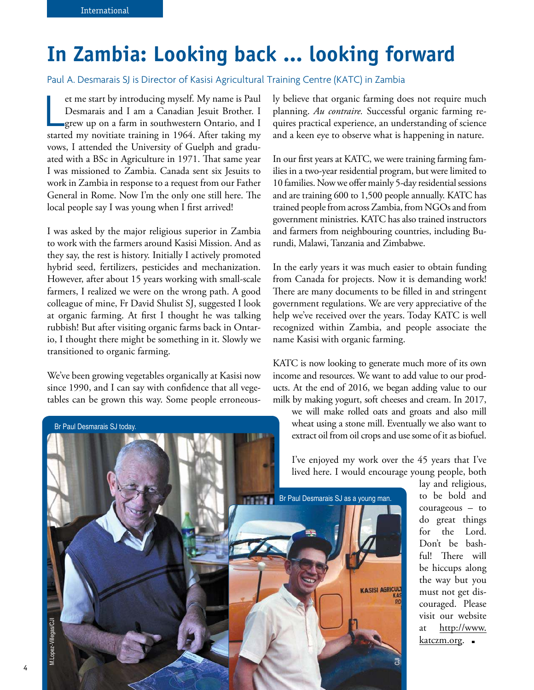### **In Zambia: Looking back ... looking forward**

Paul A. Desmarais SJ is Director of Kasisi Agricultural Training Centre (KATC) in Zambia

et me start by introducing myself. My name is Paul<br>Desmarais and I am a Canadian Jesuit Brother. I<br>grew up on a farm in southwestern Ontario, and I<br>started my novitiate training in 1964. After taking my et me start by introducing myself. My name is Paul Desmarais and I am a Canadian Jesuit Brother. I grew up on a farm in southwestern Ontario, and I vows, I attended the University of Guelph and graduated with a BSc in Agriculture in 1971. That same year I was missioned to Zambia. Canada sent six Jesuits to work in Zambia in response to a request from our Father General in Rome. Now I'm the only one still here. The local people say I was young when I first arrived!

I was asked by the major religious superior in Zambia to work with the farmers around Kasisi Mission. And as they say, the rest is history. Initially I actively promoted hybrid seed, fertilizers, pesticides and mechanization. However, after about 15 years working with small-scale farmers, I realized we were on the wrong path. A good colleague of mine, Fr David Shulist SJ, suggested I look at organic farming. At first I thought he was talking rubbish! But after visiting organic farms back in Ontario, I thought there might be something in it. Slowly we transitioned to organic farming.

We've been growing vegetables organically at Kasisi now since 1990, and I can say with confidence that all vegetables can be grown this way. Some people erroneously believe that organic farming does not require much planning. *Au contraire.* Successful organic farming requires practical experience, an understanding of science and a keen eye to observe what is happening in nature.

In our first years at KATC, we were training farming families in a two-year residential program, but were limited to 10 families. Now we offer mainly 5-day residential sessions and are training 600 to 1,500 people annually. KATC has trained people from across Zambia, from NGOs and from government ministries. KATC has also trained instructors and farmers from neighbouring countries, including Burundi, Malawi, Tanzania and Zimbabwe.

In the early years it was much easier to obtain funding from Canada for projects. Now it is demanding work! There are many documents to be filled in and stringent government regulations. We are very appreciative of the help we've received over the years. Today KATC is well recognized within Zambia, and people associate the name Kasisi with organic farming.

KATC is now looking to generate much more of its own income and resources. We want to add value to our products. At the end of 2016, we began adding value to our milk by making yogurt, soft cheeses and cream. In 2017,

we will make rolled oats and groats and also mill wheat using a stone mill. Eventually we also want to extract oil from oil crops and use some of it as biofuel.

I've enjoyed my work over the 45 years that I've lived here. I would encourage young people, both

3

**KASISI AGRICUL** 

Br Paul Desmarais SJ as a young man.

lay and religious, to be bold and courageous – to do great things for the Lord. Don't be bashful! There will be hiccups along the way but you must not get discouraged. Please visit our website [at http://www.](http://www.katczm.org) katczm.org.



Br Paul Desmarais SJ today.

4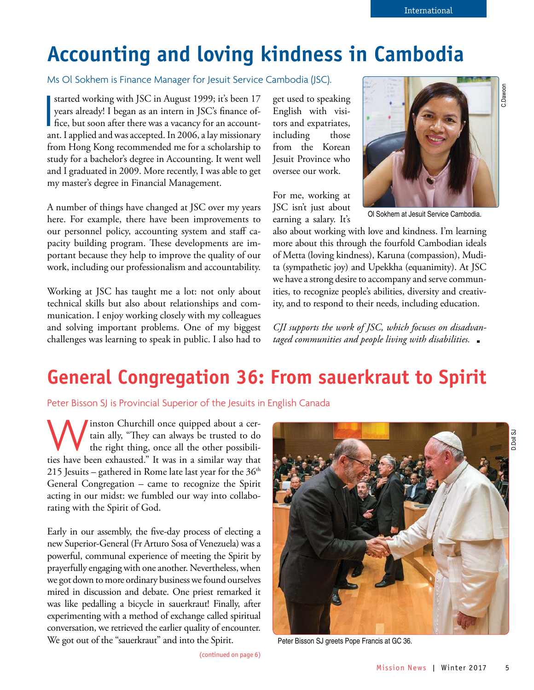### **Accounting and loving kindness in Cambodia**

Ms Ol Sokhem is Finance Manager for Jesuit Service Cambodia (JSC).

∏<br>|<br>|ar started working with JSC in August 1999; it's been 17 years already! I began as an intern in JSC's finance office, but soon after there was a vacancy for an accountant. I applied and was accepted. In 2006, a lay missionary from Hong Kong recommended me for a scholarship to study for a bachelor's degree in Accounting. It went well and I graduated in 2009. More recently, I was able to get my master's degree in Financial Management.

A number of things have changed at JSC over my years here. For example, there have been improvements to our personnel policy, accounting system and staff capacity building program. These developments are important because they help to improve the quality of our work, including our professionalism and accountability.

Working at JSC has taught me a lot: not only about technical skills but also about relationships and communication. I enjoy working closely with my colleagues and solving important problems. One of my biggest challenges was learning to speak in public. I also had to get used to speaking English with visitors and expatriates, including those from the Korean Jesuit Province who oversee our work.

For me, working at JSC isn't just about earning a salary. It's



Ol Sokhem at Jesuit Service Cambodia.

also about working with love and kindness. I'm learning more about this through the fourfold Cambodian ideals of Metta (loving kindness), Karuna (compassion), Mudita (sympathetic joy) and Upekkha (equanimity). At JSC we have a strong desire to accompany and serve communities, to recognize people's abilities, diversity and creativity, and to respond to their needs, including education.

*CJI supports the work of JSC, which focuses on disadvantaged communities and people living with disabilities.*

### **General Congregation 36: From sauerkraut to Spirit**

Peter Bisson SJ is Provincial Superior of the Jesuits in English Canada

W inston Churchill once quipped about a cer-<br>tain ally, "They can always be trusted to do<br>the right thing, once all the other possibili-<br>ties have been exhausted." It was in a similar way that inston Churchill once quipped about a certain ally, "They can always be trusted to do the right thing, once all the other possibili-215 Jesuits – gathered in Rome late last year for the  $36<sup>th</sup>$ General Congregation – came to recognize the Spirit acting in our midst: we fumbled our way into collaborating with the Spirit of God.

Early in our assembly, the five-day process of electing a new Superior-General (Fr Arturo Sosa of Venezuela) was a powerful, communal experience of meeting the Spirit by prayerfully engaging with one another. Nevertheless, when we got down to more ordinary business we found ourselves mired in discussion and debate. One priest remarked it was like pedalling a bicycle in sauerkraut! Finally, after experimenting with a method of exchange called spiritual conversation, we retrieved the earlier quality of encounter. We got out of the "sauerkraut" and into the Spirit.

(continued on page 6)

![](_page_4_Picture_16.jpeg)

Peter Bisson SJ greets Pope Francis at GC 36.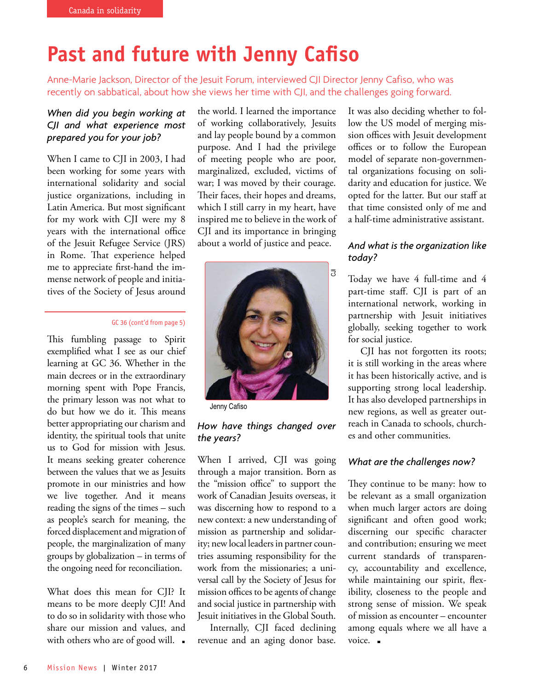### **Past and future with Jenny Cafiso**

Anne-Marie Jackson, Director of the Jesuit Forum, interviewed CJI Director Jenny Cafiso, who was recently on sabbatical, about how she views her time with CJI, and the challenges going forward.

#### *When did you begin working at CJI and what experience most prepared you for your job?*

When I came to CJI in 2003, I had been working for some years with international solidarity and social justice organizations, including in Latin America. But most significant for my work with CJI were my 8 years with the international office of the Jesuit Refugee Service (JRS) in Rome. That experience helped me to appreciate first-hand the immense network of people and initiatives of the Society of Jesus around

#### GC 36 (cont'd from page 5)

This fumbling passage to Spirit exemplified what I see as our chief learning at GC 36. Whether in the main decrees or in the extraordinary morning spent with Pope Francis, the primary lesson was not what to do but how we do it. This means better appropriating our charism and identity, the spiritual tools that unite us to God for mission with Jesus. It means seeking greater coherence between the values that we as Jesuits promote in our ministries and how we live together. And it means reading the signs of the times – such as people's search for meaning, the forced displacement and migration of people, the marginalization of many groups by globalization – in terms of the ongoing need for reconciliation.

What does this mean for CJI? It means to be more deeply CJI! And to do so in solidarity with those who share our mission and values, and with others who are of good will.  $\blacksquare$ 

the world. I learned the importance of working collaboratively, Jesuits and lay people bound by a common purpose. And I had the privilege of meeting people who are poor, marginalized, excluded, victims of war; I was moved by their courage. Their faces, their hopes and dreams, which I still carry in my heart, have inspired me to believe in the work of CJI and its importance in bringing about a world of justice and peace.

![](_page_5_Picture_9.jpeg)

Jenny Cafiso

#### *How have things changed over the years?*

When I arrived, CJI was going through a major transition. Born as the "mission office" to support the work of Canadian Jesuits overseas, it was discerning how to respond to a new context: a new understanding of mission as partnership and solidarity; new local leaders in partner countries assuming responsibility for the work from the missionaries; a universal call by the Society of Jesus for mission offices to be agents of change and social justice in partnership with Jesuit initiatives in the Global South.

Internally, CJI faced declining revenue and an aging donor base.

It was also deciding whether to follow the US model of merging mission offices with Jesuit development offices or to follow the European model of separate non-governmental organizations focusing on solidarity and education for justice. We opted for the latter. But our staff at that time consisted only of me and a half-time administrative assistant.

#### *And what is the organization like today?*

Today we have 4 full-time and 4 part-time staff. CJI is part of an international network, working in partnership with Jesuit initiatives globally, seeking together to work for social justice.

CJI has not forgotten its roots; it is still working in the areas where it has been historically active, and is supporting strong local leadership. It has also developed partnerships in new regions, as well as greater outreach in Canada to schools, churches and other communities.

#### *What are the challenges now?*

They continue to be many: how to be relevant as a small organization when much larger actors are doing significant and often good work; discerning our specific character and contribution; ensuring we meet current standards of transparency, accountability and excellence, while maintaining our spirit, flexibility, closeness to the people and strong sense of mission. We speak of mission as encounter – encounter among equals where we all have a voice. **-**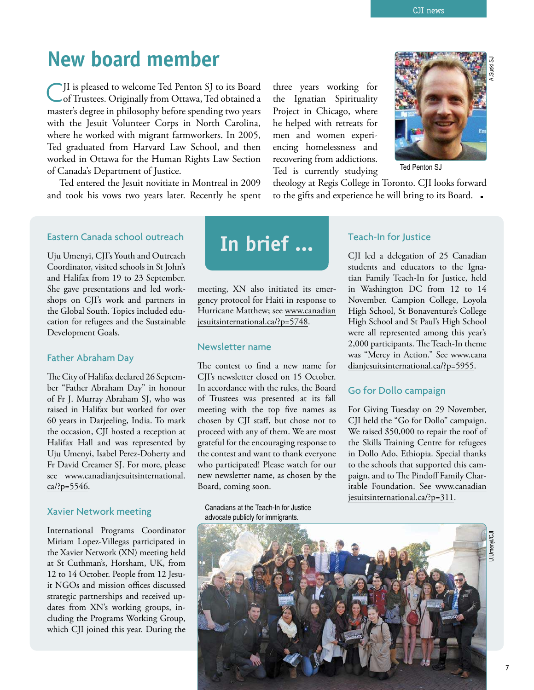### **New board member**

C JI is pleased to welcome Ted Penton SJ to its Board of Trustees. Originally from Ottawa, Ted obtained a master's degree in philosophy before spending two years with the Jesuit Volunteer Corps in North Carolina, where he worked with migrant farmworkers. In 2005, Ted graduated from Harvard Law School, and then worked in Ottawa for the Human Rights Law Section of Canada's Department of Justice.

Ted entered the Jesuit novitiate in Montreal in 2009 and took his vows two years later. Recently he spent three years working for the Ignatian Spirituality Project in Chicago, where he helped with retreats for men and women experiencing homelessness and recovering from addictions. Ted is currently studying

![](_page_6_Picture_5.jpeg)

Ted Penton SJ

theology at Regis College in Toronto. CJI looks forward to the gifts and experience he will bring to its Board.

#### Eastern Canada school outreach

Uju Umenyi, CJI's Youth and Outreach Coordinator, visited schools in St John's and Halifax from 19 to 23 September. She gave presentations and led workshops on CJI's work and partners in the Global South. Topics included education for refugees and the Sustainable Development Goals.

#### Father Abraham Day

The City of Halifax declared 26 September "Father Abraham Day" in honour of Fr J. Murray Abraham SJ, who was raised in Halifax but worked for over 60 years in Darjeeling, India. To mark the occasion, CJI hosted a reception at Halifax Hall and was represented by Uju Umenyi, Isabel Perez-Doherty and Fr David Creamer SJ. For more, please [see www.canadianjesuitsinternational.](http://www.canadianjesuitsinternational.ca/?p=5546) ca/?p=5546.

#### Xavier Network meeting

International Programs Coordinator Miriam Lopez-Villegas participated in the Xavier Network (XN) meeting held at St Cuthman's, Horsham, UK, from 12 to 14 October. People from 12 Jesuit NGOs and mission offices discussed strategic partnerships and received updates from XN's working groups, including the Programs Working Group, which CJI joined this year. During the

![](_page_6_Picture_14.jpeg)

meeting, XN also initiated its emergency protocol for Haiti in response to [Hurricane Matthew; see www.canadian](http://www.canadianjesuitsinternational.ca/?p=5748) jesuitsinternational.ca/?p=5748.

#### Newsletter name

The contest to find a new name for CJI's newsletter closed on 15 October. In accordance with the rules, the Board of Trustees was presented at its fall meeting with the top five names as chosen by CJI staff, but chose not to proceed with any of them. We are most grateful for the encouraging response to the contest and want to thank everyone who participated! Please watch for our new newsletter name, as chosen by the Board, coming soon.

Canadians at the Teach-In for Justice advocate publicly for immigrants.

#### Teach-In for Justice

CJI led a delegation of 25 Canadian students and educators to the Ignatian Family Teach-In for Justice, held in Washington DC from 12 to 14 November. Campion College, Loyola High School, St Bonaventure's College High School and St Paul's High School were all represented among this year's 2,000 participants. The Teach-In theme [was "Mercy in Action." See www.cana](http://www.canadianjesuitsinternational.ca/?p=5955) dianjesuitsinternational.ca/?p=5955.

#### Go for Dollo campaign

For Giving Tuesday on 29 November, CJI held the "Go for Dollo" campaign. We raised \$50,000 to repair the roof of the Skills Training Centre for refugees in Dollo Ado, Ethiopia. Special thanks to the schools that supported this campaign, and to The Pindoff Family Char[itable Foundation. See www.canadian](http://www.canadianjesuitsinternational.ca/?p=311) jesuitsinternational.ca/?p=311.

![](_page_6_Picture_23.jpeg)